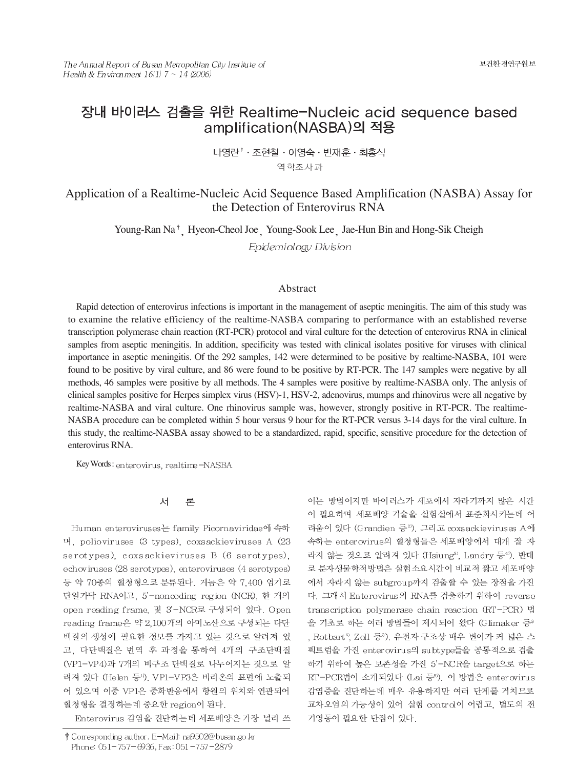# 장내 바이러스 검출을 위한 Realtime-Nucleic acid sequence based amplification(NASBA)의 적용

나영란<sup>↑</sup> · 조현철 · 이영숙 · 빈재훈 · 최홍식

역학조사과

# Application of a Realtime-Nucleic Acid Sequence Based Amplification (NASBA) Assay for the Detection of Enterovirus RNA

Young-Ran Na<sup>†</sup> Hyeon-Cheol Joe Young-Sook Lee Jae-Hun Bin and Hong-Sik Cheigh

Epidemiology Division

## Abstract

Rapid detection of enterovirus infections is important in the management of aseptic meningitis. The aim of this study was to examine the relative efficiency of the realtime-NASBA comparing to performance with an established reverse transcription polymerase chain reaction (RT-PCR) protocol and viral culture for the detection of enterovirus RNA in clinical samples from aseptic meningitis. In addition, specificity was tested with clinical isolates positive for viruses with clinical importance in aseptic meningitis. Of the 292 samples, 142 were determined to be positive by realtime-NASBA, 101 were found to be positive by viral culture, and 86 were found to be positive by RT-PCR. The 147 samples were negative by all methods, 46 samples were positive by all methods. The 4 samples were positive by realtime-NASBA only. The anlysis of clinical samples positive for Herpes simplex virus (HSV)-1, HSV-2, adenovirus, mumps and rhinovirus were all negative by realtime-NASBA and viral culture. One rhinovirus sample was, however, strongly positive in RT-PCR. The realtime-NASBA procedure can be completed within 5 hour versus 9 hour for the RT-PCR versus 3-14 days for the viral culture. In this study, the realtime-NASBA assay showed to be a standardized, rapid, specific, sensitive procedure for the detection of enterovirus RNA.

Key Words: enterovirus, realtime-NASBA

#### 서 론

Human enteroviruses는 family Picornaviridae에 속하 며, polioviruses (3 types), coxsackieviruses A (23 serotypes), coxsackieviruses B (6 serotypes), echoviruses (28 serotypes), enteroviruses (4 serotypes) 등 약 70종의 혈청형으로 분류된다. 게놈은 약 7,400 염기로 단일가닥 RNA이고, 5'-noncoding region (NCR), 한 개의 open reading frame, 및 3'-NCR로 구성되어 있다. Open reading frame은 약 2,100개의 아미노산으로 구성되는 다단 백질의 생성에 필요한 정보를 가지고 있는 것으로 알려져 있 고, 다단백질은 번역 후 과정을 통하여 4개의 구조단백질 (VP1-VP4)과 7개의 비구조 단백질로 나누어지는 것으로 알 려져 있다 (Helen 등<sup>1)</sup>, VP1-VP3은 비리온의 표면에 노출되 어 있으며 이중 VP1은 중화반응에서 항원의 위치와 연관되어 혈청형을 결정하는데 중요한 region이 된다.

Enterovirus 감염을 진단하는데 세포배양은 가장 널리 쓰

이는 방법이지만 바이러스가 세포에서 자라기까지 많은 시간 이 필요하며 세포배양 기술을 실험실에서 표준화시키는데 어 려움이 있다 (Grandien 등<sup>2)</sup>. 그리고 coxsackieviruses A에 속하는 enterovirus의 혈청형들은 세포배양에서 대개 잘 자 라지 않는 것으로 알려져 있다 (Hsiung<sup>3)</sup>, Landry 등<sup>4)</sup>). 반대 로 분자생물학적방법은 실험소요시간이 비교적 짧고 세포배양 에서 자라지 않는 subgroup까지 검출할 수 있는 장점을 가진 다. 그래서 Enterovirus의 RNA를 검출하기 위하여 reverse transcription polymerase chain reaction (RT-PCR) 법 을 기초로 하는 여러 방법들이 제시되어 왔다 (Glimaker 등® , Rotbart<sup>s</sup>, Zoll 등<sup>9</sup>). 유전자 구조상 매우 변이가 커 넓은 스 펙트럼을 가진 enterovirus의 subtype들을 공통적으로 검출 하기 위하여 높은 보존성을 가진 5'-NCR을 target으로 하는 RT-PCR법이 소개되었다 (Lai 등8). 이 방법은 enterovirus 감염증을 진단하는데 매우 유용하지만 여러 단계를 거치므로 교차오염의 가능성이 있어 실험 control이 어렵고, 별도의 전 기영동이 필요한 단점이 있다.

<sup>†</sup> Corresponding author. E-Mail: na9502@busan.go.kr Phone: 051-757-6936, Fax: 051-757-2879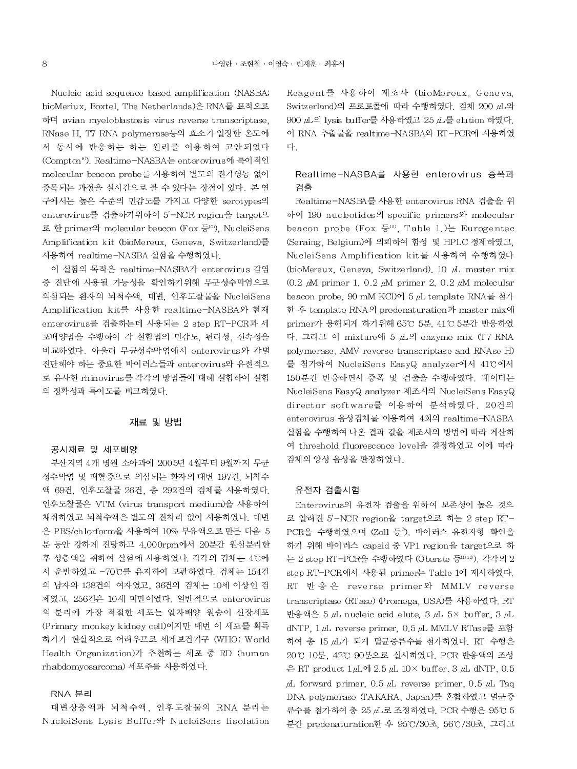Nucleic acid sequence based amplification (NASBA; bioMeriux, Boxtel, The Netherlands)은 RNA를 표적으로 하며 avian myeloblastosis virus reverse transcriptase, RNase H. T7 RNA polymerase등의 효소가 일정한 온도에 서 동시에 반응하는 하는 원리를 이용하여 고안되었다 (Compton<sup>9)</sup>. Realtime-NASBA는 enterovirus에 특이적인 molecular beacon probe를 사용하여 별도의 전기영동 없이 증폭되는 과정을 실시간으로 볼 수 있다는 장점이 있다. 본 연 구에서는 높은 수준의 민감도를 가지고 다양한 serotypes의 enterovirus를 검출하기위하여 5'-NCR region을 target으 로 한 primer와 molecular beacon (Fox 등<sup>10)</sup>, NucleiSens Amplification kit (bioMereux, Geneva, Switzerland)를 사용하여 realtime-NASBA 실험을 수행하였다.

이 실험의 목적은 realtime-NASBA가 enterovirus 감염 증 진단에 사용될 가능성을 확인하기위해 무균성수막염으로 의심되는 환자의 뇌척수액, 대변, 인후도찰물을 NucleiSens Amplification kit를 사용한 realtime-NASBA와 현재 enterovirus를 검출하는데 사용되는 2 step RT-PCR과 세 포배양법을 수행하여 각 실험법의 민감도, 편리성, 신속성을 비교하였다. 아울러 무균성수막염에서 enterovirus와 감별 진단해야 하는 중요한 바이러스들과 enterovirus와 유전적으 로 유사한 rhinovirus를 각각의 방법들에 대해 실험하여 실험 의 정확성과 특이도를 비교하였다.

# 재료 및 방법

#### 공시재료 및 세포배양

부산지역 4개 병원 소아과에 2005년 4월부터 9월까지 무균 성수막염 및 패혈증으로 의심되는 환자의 대변 197건, 뇌척수 액 69건, 인후도찰물 26건, 총 292건의 검체를 사용하였다. 인후도찰물은 VTM (virus transport medium)을 사용하여 채취하였고 뇌척수액은 별도의 전처리 없이 사용하였다. 대변 은 PBS/chlorform을 사용하여 10% 부유액으로 만든 다음 5 분 동안 강하게 진탕하고 4,000rpm에서 20분간 원심분리한 후 상층액을 취하여 실험에 사용하였다. 각각의 검체는 4°C에 서 운반하였고 -70℃를 유지하여 보관하였다. 검체는 154건 의 남자와 138건의 여자였고, 36건의 검체는 10세 이상인 검 체였고, 256건은 10세 미만이었다. 일반적으로 enterovirus 의 분리에 가장 적절한 세포는 일차배양 원숭이 신장세포 (Primary monkey kidney cell)이지만 매번 이 세포를 획득 하기가 현실적으로 어려우므로 세계보건기구 (WHO; World Health Organization)가 추천하는 세포 중 RD (human rhabdomyosarcoma) 세포주를 사용하였다.

## RNA 분리

대변상층액과 뇌척수액, 인후도찰물의 RNA 분리는 NucleiSens Lysis Buffer<sup>9</sup> NucleiSens lisolation Reagent를 사용하여 제조사 (bioMereux, Geneva, Switzerland)의 프로토콜에 따라 수행하였다. 검체 200 uL와 900 μL의 lysis buffer를 사용하였고 25 μ 를 elution 하였다. 이 RNA 추출물을 realtime-NASBA와 RT-PCR에 사용하였 다.

# Realtime-NASBA를 사용한 enterovirus 증폭과 검출

Realtime-NASBA를 사용한 enterovirus RNA 검출을 위 하여 190 nucleotides의 specific primers와 molecular beacon probe (Fox  $\frac{1}{6}$ <sup>10</sup>), Table 1.) Eurogentec (Seraing, Belgium)에 의뢰하여 합성 및 HPLC 정제하였고, NucleiSens Amplification kit를 사용하여 수행하였다 (bioMereux, Geneva, Switzerland), 10 µL master mix  $(0.2 \mu M)$  primer 1, 0.2  $\mu$ M primer 2, 0.2  $\mu$ M molecular beacon probe, 90 mM KCl)에 5 山 template RNA를 첨가 한 후 template RNA의 predenaturation과 master mix에 primer가 용해되게 하기위해 65℃ 5분, 41℃ 5분간 반응하였 다. 그리고 이 mixture에 5 山의 enzyme mix (T7 RNA polymerase, AMV reverse transcriptase and RNAse H) 를 첨가하여 NucleiSens EasyQ analyzer에서 41℃에서 150분간 반응하면서 증폭 및 검출을 수행하였다. 데이터는 NucleiSens EasyQ analyzer 제조사의 NucleiSens EasyQ director software를 이용하여 분석하였다. 20건의 enterovirus 음성검체를 이용하여 4회의 realtime-NASBA 실험을 수행하여 나온 결과 값을 제조사의 방법에 따라 계산하 여 threshold fluorescence level을 결정하였고 이에 따라 검체의 양성 음성을 판정하였다.

### 유전자 검출시험

Enterovirus의 유전자 검출을 위하여 보존성이 높은 것으 로 알려진 5'-NCR region을 target으로 하는 2 step RT-PCR을 수행하였으며 (Zoll 등<sup>9</sup>), 바이러스 유전자형 확인을 하기 위해 바이러스 capsid 중 VP1 region을 target으로 하 는 2 step RT-PCR을 수행하였다 (Oberste 등 11,12). 각각의 2 step RT-PCR에서 사용된 primer는 Table 1에 제시하였다. RT 반응은 reverse primer와 MMLV reverse transcriptase (RTase) (Promega, USA)를 사용하였다. RT 반응액은 5 *p*L nucleic acid elute 3 pL 5× buffer 3 pL dNTP, 1 μL reverse primer, 0.5 μL MMLV RTase를 포함 하여 총 15 瓜가 되게 멸균증류수를 첨가하였다. RT 수행은 20℃ 10분, 42℃ 90분으로 실시하였다. PCR 반응액의 조성 은 RT product  $1 \mu L$ 에 2.5  $\mu L$  10× buffer, 3  $\mu L$  dNTP, 0.5  $\mu$ L forward primer, 0.5  $\mu$ L reverse primer, 0.5  $\mu$ L Taq DNA polymerase (TAKARA, Japan)를 혼합하였고 멸균증 류수를 첨가하여 총 25 µL로 조정하였다. PCR 수행은 95℃ 5 분간 predenaturation한 후 95°C/30초, 56°C/30초, 그리고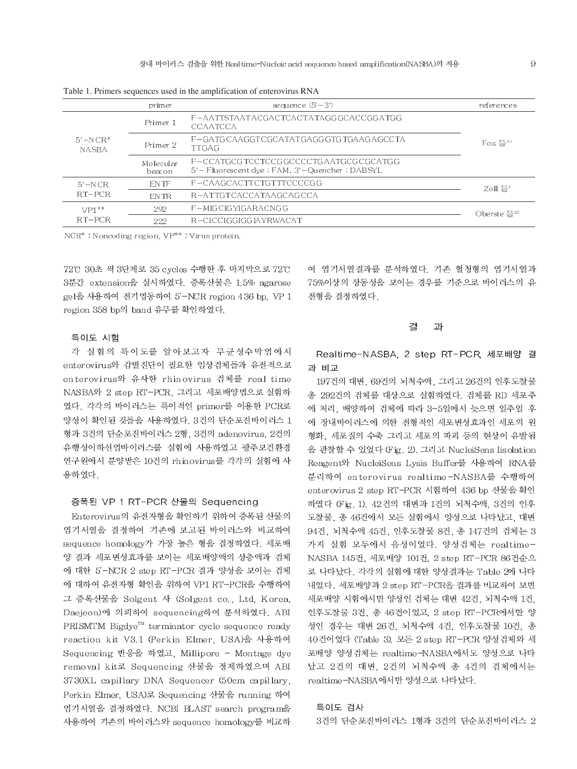|                                | primer              | sequence $(5' - 3')$                                                                  | references                    |  |
|--------------------------------|---------------------|---------------------------------------------------------------------------------------|-------------------------------|--|
| $5'$ –N $CR^*$<br><b>NASBA</b> | Primer 1            | F-AATTSTAATACGACTCACTATAGG GCACCGG ATGG<br>CCAATCCA                                   |                               |  |
|                                | Primer 2            | F-GATGCAAGGTCGCATATGAGGGTGTGAAGAGCCTA<br><b>TTGAG</b>                                 | $F\alpha$ 등 $\mathbb{R}^{10}$ |  |
|                                | Molecular<br>beacon | F-CCATGCG TCCTCCGGCCCCTGAATGCGCGCATGG<br>5'-Fluorescent dye: FAM, 3'-Quencher: DABSYL |                               |  |
| $5'$ – N CR<br>$RT-PCR$        | EN TF               | F-CAAGCACTTCTGTTTCCCCGG                                                               | Zoll 등 $n$                    |  |
|                                | <b>ENTR</b>         | R-ATTGTCACCATAAGCAGCCA                                                                |                               |  |
| $VP1**$<br>$RT-PCR$            | 292                 | F-MIGCIGYIGARACNGG                                                                    | Oberste 등 $^{12}$             |  |
|                                | 222                 | R-CICCIGGIGG IAYRWACAT                                                                |                               |  |

Table 1. Primers sequences used in the amplification of enterovirus RNA

NCR<sup>\*</sup>: Noncoding region, VP<sup>\*\*</sup>: Virus protein.

72℃ 30초 씩 3단계로 35 cycles 수행한 후 마지막으로 72℃ 3분간 extension을 실시하였다. 증폭산물은 1.5% agarose gel을 사용하여 전기영동하여 5'-NCR region 436 bp, VP 1 region 358 bp의 band 유무를 확인하였다.

#### 특이도 시험

각 실험의 특이도를 알아보고자 무균성수막염에서 enterovirus와 감별진단이 필요한 임상검체들과 유전적으로 enterovirus와 유사한 rhinovirus 검체를 real time NASBA와 2 step RT-PCR, 그리고 세포배양법으로 실험하 였다. 각각의 바이러스는 특이적인 primer를 이용한 PCR로 양성이 확인된 것들을 사용하였다. 3건의 단순포진바이러스 1 형과 3건의 단순포진바이러스 2형, 3건의 adenovirus, 2건의 유행성이하선염바이러스를 실험에 사용하였고 광주보건환경 연구원에서 분양받은 10건의 rhinovirus를 각각의 실험에 사 용하였다.

### 증폭된 VP 1 RT-PCR 산물의 Sequencing

Enterovirus의 유전자형을 확인하기 위하여 증폭된 산물의 염기서열을 결정하여 기존에 보고된 바이러스와 비교하여 sequence homology가 가장 높은 형을 결정하였다. 세포배 양 결과 세포변성효과를 보이는 세포배양액의 상층액과 검체 에 대한 5'-NCR 2 step RT-PCR 결과 양성을 보이는 검체 에 대하여 유전자형 확인을 위하여 VP1 RT-PCR을 수행하여 그 증폭산물을 Solgent 사 (Solgent co., Ltd, Korea, Daejeon)에 의뢰하여 sequencing하여 분석하였다. ABI  $\mathsf{PRISMTM}\,$  Bigdye $^{\mathsf{TM}}$  terminator cycle sequence ready reaction kit V3.1 (Perkin Elmer, USA)을 사용하여 Sequencing 반응을 하였고, Millipore - Montage dye removal kit로 Sequencing 산물을 정제하였으며 ABI 3730XL capillary DNA Sequencer (50cm capillary, Perkin Elmer, USA)로 Sequencing 산물을 running 하여 염기서열을 결정하였다. NCBI BLAST search program을 사용하여 기존의 바이러스와 sequence homology를 비교하

여 염기서열결과를 분석하였다. 기존 혈청형의 염기서열과 75%이상의 상동성을 보이는 경우를 기준으로 바이러스의 유 전형을 결정하였다.

#### 곀 과

Realtime-NASBA, 2 step RT-PCR 세포배양 결 과 비교

197건의 대변, 69건의 뇌척수액, 그리고 26건의 인후도찰물 총 292건의 검체를 대상으로 실험하였다. 검체를 RD 세포주 에 처리, 배양하여 검체에 따라 3-5일에서 늦으면 일주일 후 에 장내바이러스에 의한 전형적인 세포변성효과인 세포의 원 형화, 세포질의 수축 그리고 세포의 파괴 등의 현상이 유발됨 을 관찰할 수 있었다 (Fig. 2). 그리고 NucleiSens Iisolation Reagent와 NucleiSens Lysis Buffer를 사용하여 RNA를 분리하여 enterovirus realtime-NASBA를 수행하여 enterovirus 2 step RT-PCR 시험하여 436 bp 산물을 확인 하였다 (Fig. 1). 42건의 대변과 1건의 뇌척수액, 3건의 인후 도찰물, 총 46건에서 모든 실험에서 양성으로 나타났고, 대변 94건, 뇌척수액 45건, 인후도찰물 8건, 총 147건의 검체는 3 가지 실험 모두에서 음성이었다. 양성검체는 realtime-NASBA 145건, 세포배양 101건, 2 step RT-PCR 86건순으 로 나타났다. 각각의 실험에 대한 양성결과는 Table 2에 나타 내었다. 세포배양과 2 step RT-PCR을 결과를 비교하여 보면 세포배양 시험에서만 양성인 검체는 대변 42건, 뇌척수액 1건, 인후도찰물 3건, 총 46건이었고, 2 step RT-PCR에서만 양 성인 경우는 대변 26건, 뇌척수액 4건, 인후도찰물 10건, 총 40건이었다 (Table 3). 모든 2 step RT-PCR 양성검체와 세 포배양 양성검체는 realtime-NASBA에서도 양성으로 나타 났고 2건의 대변, 2건의 뇌척수액 총 4건의 검체에서는 realtime-NASBA에서만 양성으로 나타났다.

#### 특이도 검사

3건의 단순포진바이러스 1형과 3건의 단순포진바이러스 2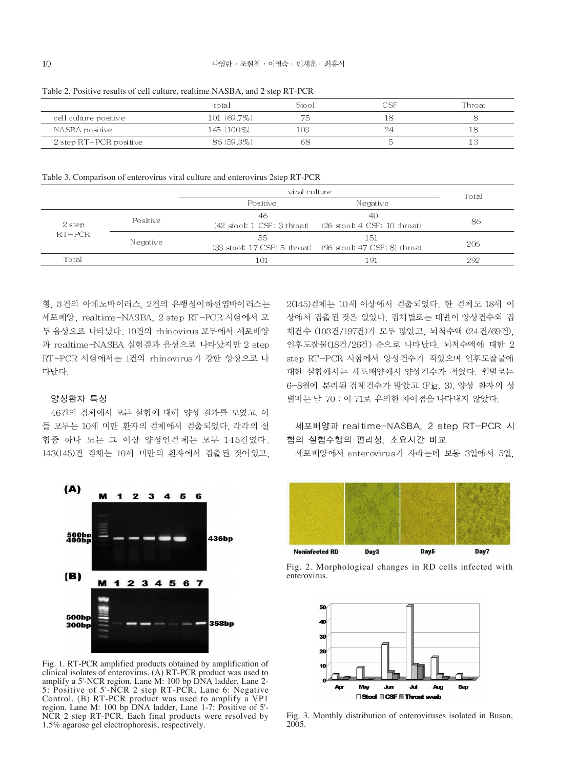|                        | total       | Stool |  | Throat |  |
|------------------------|-------------|-------|--|--------|--|
| cell culture positive  | 101 (69.7%) | 75    |  |        |  |
| NASBA positive         | 145 (100%)  | -03   |  |        |  |
| 2 step RT-PCR positive | 86 (59.3%)  |       |  |        |  |

Table 2. Positive results of cell culture, realtime NASBA, and 2 step RT-PCR

Table 3. Comparison of enterovirus viral culture and enterovirus 2step RT-PCR

|          |          | viral culture                     |                                                                   | Total |  |
|----------|----------|-----------------------------------|-------------------------------------------------------------------|-------|--|
|          |          | Positive                          | Negative                                                          |       |  |
| 2 step   | Positive | 46<br>(42 stool; 1 CSF; 3 throat) | 40<br>(26 stool; 4 CSF; 10 throat)                                | 86    |  |
| $RT-PCR$ | Negative | 55.                               | 1.51<br>(33 stool; 17 CSF; 5 throat) (96 stool; 47 CSF; 8) throat | 206   |  |
| Total    |          | 101                               | 191                                                               | 292   |  |

형, 3건의 아데노바이러스, 2건의 유행성이하선염바이러스는 세포배양, realtime-NASBA, 2 step RT-PCR 시험에서 모 두 음성으로 나타났다. 10건의 rhinovirus 모두에서 세포배양 과 realtime-NASBA 실험결과 음성으로 나타났지만 2 step RT-PCR 시험에서는 1건의 rhinovirus가 강한 양성으로 나 타났다.

### 양성환자 특성

46건의 검체에서 모든 실험에 대해 양성 결과를 보였고, 이 들 모두는 10세 미만 환자의 검체에서 검출되었다. 각각의 실 험중 하나 또는 그 이상 양성인검체는 모두 145건였다. 143(145)건 검체는 10세 미만의 환자에서 검출된 것이었고,



Fig. 1. RT-PCR amplified products obtained by amplification of clinical isolates of enterovirus. (A) RT-PCR product was used to amplify a 5'-NCR region. Lane M: 100 bp DNA ladder, Lane 2- 5: Positive of 5'-NCR 2 step RT-PCR, Lane 6: Negative Control. (B) RT-PCR product was used to amplify a VP1 region. Lane M: 100 bp DNA ladder, Lane 1-7: Positive of 5'- NCR 2 step RT-PCR. Each final products were resolved by 1.5% agarose gel electrophoresis, respectively.

2(145)검체는 10세 이상에서 검출되었다. 한 검체도 18세 이 상에서 검출된 것은 없었다. 검체별로는 대변이 양성건수와 검 체건수 (103건/197건)가 모두 많았고, 뇌척수액 (24건/69건), 인후도찰물(18건/26건) 순으로 나타났다. 뇌척수액에 대한 2 step RT-PCR 시험에서 양성건수가 적었으며 인후도찰물에 대한 실험에서는 세포배양에서 양성건수가 적었다. 월별로는 6-8월에 분리된 검체건수가 많았고 (Fig. 3), 양성 환자의 성 별비는 남 70 : 여 71로 유의한 차이점을 나타내지 않았다.

# 세포배양과 realtime-NASBA, 2 step RT-PCR 시 험의 실험수행의 편리성, 소요시간 비교

세포배양에서 enterovirus가 자라는데 보통 3일에서 5일,



Fig. 2. Morphological changes in RD cells infected with enterovirus.



Fig. 3. Monthly distribution of enteroviruses isolated in Busan, 2005.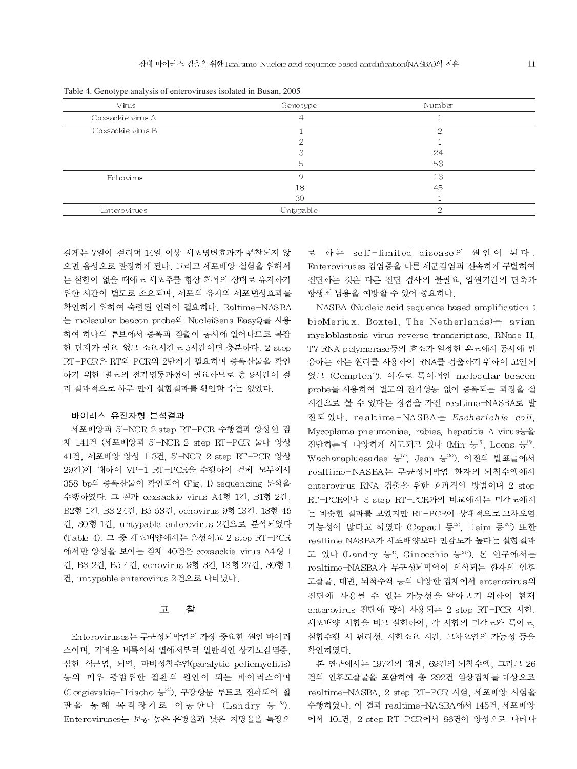| Virus             | Genotype  | Number |  |
|-------------------|-----------|--------|--|
| Coxsackie virus A | 4         |        |  |
| Coxsackie virus B |           | ∩      |  |
|                   | ∩         |        |  |
|                   | ≘         | 24     |  |
|                   | 5         | 53     |  |
| Echovirus         | Q         | 13     |  |
|                   | 18        | 45     |  |
|                   | 30        |        |  |
| Enterovirues      | Untypable | ∩      |  |

Table 4. Genotype analysis of enteroviruses isolated in Busan, 2005

길게는 7일이 걸리며 14일 이상 세포병변효과가 관찰되지 않 으면 음성으로 판정하게 된다. 그리고 세포배양 실험을 위해서 는 실험이 없을 때에도 세포주를 항상 최적의 상태로 유지하기 위한 시간이 별도로 소요되며, 세포의 유지와 세포변성효과를 확인하기 위하여 숙련된 인력이 필요하다. Raltime-NASBA 는 molecular beacon probe와 NucleiSens EasyQ를 사용 하여 하나의 튜브에서 증폭과 검출이 동시에 일어나므로 복잡 한 단계가 필요 없고 소요시간도 5시간이면 충분하다. 2 step RT-PCR은 RT와 PCR의 2단계가 필요하며 증폭산물을 확인 하기 위한 별도의 전기영동과정이 필요하므로 총 9시간이 걸 려 결과적으로 하루 만에 실험결과를 확인할 수는 없었다.

### 바이러스 유전자형 분석결과

세포배양과 5'-NCR 2 step RT-PCR 수행결과 양성인 검 체 141건 (세포배양과 5'-NCR 2 step RT-PCR 둘다 양성 41건, 세포배양 양성 113건, 5'-NCR 2 step RT-PCR 양성 29건)에 대하여 VP-1 RT-PCR을 수행하여 검체 모두에서 358 bp의 증폭산물이 확인되어 (Fig. 1) sequencing 분석을 수행하였다. 그 결과 coxsackie virus A4형 1건, B1형 2건, B2형 1건, B3 24건, B5 53건, echovirus 9형 13건, 18형 45 건, 30형 1건, untypable enterovirus 2건으로 분석되었다 (Table 4). 그 중 세포배양에서는 음성이고 2 step RT-PCR 에서만 양성을 보이는 검체 40건은 coxsackie virus A4형 1 건, B3 2건, B5 4건, echovirus 9형 3건, 18형 27건, 30형 1 건, untypable enterovirus 2건으로 나타났다.

#### 卫 찰

Enteroviruses는 무균성뇌막염의 가장 중요한 원인 바이러 스이며, 가벼운 비특이적 열에서부터 일반적인 상기도감염증, 심한 심근염, 뇌염, 마비성척수염(paralytic poliomyelitis) 등의 매우 광범위한 질환의 원인이 되는 바이러스이며 (Gorgievskie-Hrisoho 등14), 구강항문 루트로 전파되어 혈 관을 통해 목적장기로 이동한다 (Landry 등13). Enteroviruses는 보통 높은 유병율과 낮은 치명율을 특징으

로 하는 self-limited disease의 원인이 된다. Enteroviruses 감염증을 다른 세균감염과 신속하게 구별하여 진단하는 것은 다른 진단 검사의 불필요. 입원기간의 단축과 항생제 남용을 예방할 수 있어 중요하다.

NASBA (Nucleic acid sequence based amplification; bioMeriux, Boxtel, The Netherlands)는 avian myeloblastosis virus reverse transcriptase, RNase H, T7 RNA polymerase등의 효소가 일정한 온도에서 동시에 반 응하는 하는 원리를 사용하여 RNA를 검출하기 위하여 고안되 었고 (Compton<sup>9)</sup>, 이후로 특이적인 molecular beacon probe를 사용하여 별도의 전기영동 없이 증폭되는 과정을 실 시간으로 볼 수 있다는 장점을 가진 realtime-NASBA로 발 전되었다. realtime-NASBA는 Escherichia coli, Mycoplama pneumoniae, rabies, hepatitis A virus등을 진단하는데 다양하게 시도되고 있다 (Min 등18, Loens 등18, Wacharapluesadee 등", Jean 등"), 이전의 발표들에서 realtime-NASBA는 무균성뇌막염 환자의 뇌척수액에서 enterovirus RNA 검출을 위한 효과적인 방법이며 2 step RT-PCR이나 3 step RT-PCR과의 비교에서는 민감도에서 는 비슷한 결과를 보였지만 RT-PCR이 상대적으로 교차오염 가능성이 많다고 하였다 (Capaul 등19). Heim 등20) 또한 realtime NASBA가 세포배양보다 민감도가 높다는 실험결과 도 있다 (Landry 등<sup>4)</sup>, Ginocchio 등211). 본 연구에서는 realtime-NASBA가 무균성뇌막염이 의심되는 환자의 인후 도찰물, 대변, 뇌척수액 등의 다양한 검체에서 enterovirus의 진단에 사용될 수 있는 가능성을 알아보기 위하여 현재 enterovirus 진단에 많이 사용되는 2 step RT-PCR 시험, 세포배양 시험을 비교 실험하여, 각 시험의 민감도와 특이도, 실험수행 시 편리성, 시험소요 시간, 교차오염의 가능성 등을 확인하였다.

본 연구에서는 197건의 대변, 69건의 뇌척수액, 그리고 26 건의 인후도찰물을 포함하여 총 292건 임상검체를 대상으로 realtime-NASBA, 2 step RT-PCR 시험, 세포배양 시험을 수행하였다. 이 결과 realtime-NASBA에서 145건, 세포배양 에서 101건, 2 step RT-PCR에서 86건이 양성으로 나타나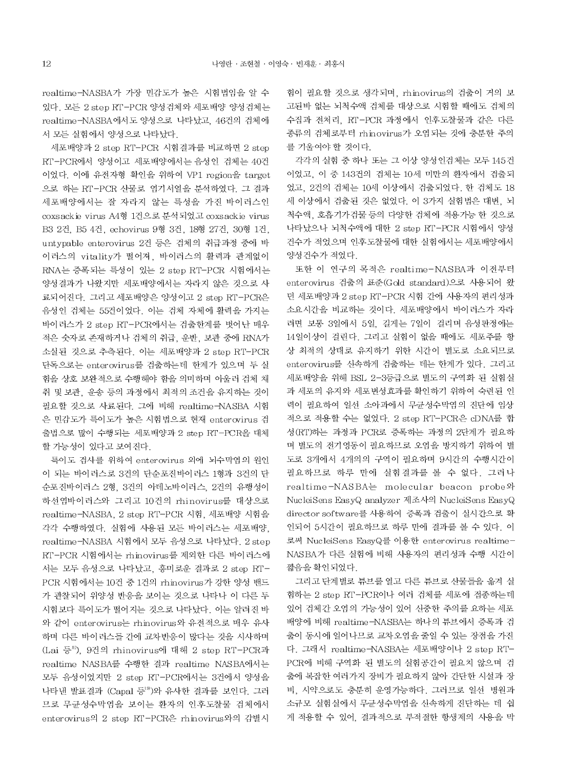realtime-NASBA가 가장 민감도가 높은 시험법임을 알 수 있다. 모든 2 step RT-PCR 양성검체와 세포배양 양성검체는 realtime-NASBA에서도 양성으로 나타났고, 46건의 검체에 서 모든 실험에서 양성으로 나타났다.

세포배양과 2 step RT-PCR 시험결과를 비교하면 2 step RT-PCR에서 양성이고 세포배양에서는 음성인 검체는 40건 이었다. 이에 유전자형 확인을 위하여 VP1 region을 target 으로 하는 RT-PCR 산물로 염기서열을 분석하였다. 그 결과 세포배양에서는 잘 자라지 않는 특성을 가진 바이러스인 coxsackie virus A4형 1건으로 분석되었고 coxsackie virus B3 2건, B5 4건, echovirus 9형 3건, 18형 27건, 30형 1건, untypable enterovirus 2건 등은 검체의 취급과정 중에 바 이러스의 vitality가 떨어져, 바이러스의 활력과 관계없이 RNA는 증폭되는 특성이 있는 2 step RT-PCR 시험에서는 양성결과가 나왔지만 세포배양에서는 자라지 않은 것으로 사 료되어진다. 그리고 세포배양은 양성이고 2 step RT-PCR은 음성인 검체는 55건이었다. 이는 검체 자체에 활력을 가지는 바이러스가 2 step RT-PCR에서는 검출한계를 벗어난 매우 적은 숫자로 존재하거나 검체의 취급, 운반, 보관 중에 RNA가 소실된 것으로 추측된다. 이는 세포배양과 2 step RT-PCR 단독으로는 enterovirus를 검출하는데 한계가 있으며 두 실 험을 상호 보완적으로 수행해야 함을 의미하며 아울러 검체 채 취 및 보관, 운송 등의 과정에서 최적의 조건을 유지하는 것이 필요할 것으로 사료된다. 그에 비해 realtime-NASBA 시험 은 민감도가 특이도가 높은 시험법으로 현재 enterovirus 검 출법으로 많이 수행되는 세포배양과 2 step RT-PCR을 대체 할 가능성이 있다고 보여진다.

특이도 검사를 위하여 enterovirus 외에 뇌수막염의 원인 이 되는 바이러스로 3건의 단순포진바이러스 1형과 3건의 단 순포진바이러스 2형, 3건의 아데노바이러스, 2건의 유행성이 하선염바이러스와 그리고 10건의 rhinovirus를 대상으로 realtime-NASBA, 2 step RT-PCR 시험, 세포배양 시험을 각각 수행하였다. 실험에 사용된 모든 바이러스는 세포배양. realtime-NASBA 시험에서 모두 음성으로 나타났다. 2 step RT-PCR 시험에서는 rhinovirus를 제외한 다른 바이러스에 서는 모두 음성으로 나타났고, 흥미로운 결과로 2 step RT-PCR 시험에서는 10건 중 1건의 rhinovirus가 강한 양성 밴드 가 관찰되어 위양성 반응을 보이는 것으로 나타나 이 다른 두 시험보다 특이도가 떨어지는 것으로 나타났다. 이는 알려진 바 와 같이 enterovirus는 rhinovirus와 유전적으로 매우 유사 하며 다른 바이러스들 간에 교차반응이 많다는 것을 시사하며 (Lai 등<sup>8)</sup>, 9건의 rhinovirus에 대해 2 step RT-PCR과 realtime NASBA를 수행한 결과 realtime NASBA에서는 모두 음성이었지만 2 step RT-PCR에서는 3건에서 양성을 나타낸 발표결과 (Capal 등19)와 유사한 결과를 보인다. 그러 므로 무균성수막염을 보이는 환자의 인후도찰물 검체에서 enterovirus의 2 step RT-PCR은 rhinovirus와의 감별시

험이 필요할 것으로 생각되며, rhinovirus의 검출이 거의 보 고된바 없는 뇌척수액 검체를 대상으로 시험할 때에도 검체의 수집과 전처리. RT-PCR 과정에서 인후도찰물과 같은 다른 종류의 검체로부터 rhinovirus가 오염되는 것에 충분한 주의 를 기울여야 할 것이다.

각각의 실험 중 하나 또는 그 이상 양성인검체는 모두 145건 이었고, 이 중 143건의 검체는 10세 미만의 환자에서 검출되 었고, 2건의 검체는 10세 이상에서 검출되었다. 한 검체도 18 세 이상에서 검출된 것은 없었다. 이 3가지 실험법은 대변, 뇌 척수액, 호흡기가검물 등의 다양한 검체에 적용가능 한 것으로 나타났으나 뇌척수액에 대한 2 step RT-PCR 시험에서 양성 건수가 적었으며 인후도찰물에 대한 실험에서는 세포배양에서 양성건수가 적었다.

또한 이 연구의 목적은 realtime-NASBA과 이전부터 enterovirus 검출의 표준(Gold standard)으로 사용되어 왔 던 세포배양과 2 step RT-PCR 시험 간에 사용자의 편리성과 소요시간을 비교하는 것이다. 세포배양에서 바이러스가 자라 려면 보통 3일에서 5일, 길게는 7일이 걸리며 음성판정에는 14일이상이 걸린다. 그리고 실험이 없을 때에도 세포주를 항 상 최적의 상태로 유지하기 위한 시간이 별도로 소요되므로 enterovirus를 신속하게 검출하는 데는 한계가 있다. 그리고 세포배양을 위해 BSL 2-3등급으로 별도의 구역화 된 실험실 과 세포의 유지와 세포변성효과를 확인하기 위하여 숙련된 인 력이 필요하여 일선 소아과에서 무균성수막염의 진단에 임상 적으로 적용할 수는 없었다. 2 step RT-PCR은 cDNA를 합 성 (RT)하는 과정과 PCR로 증폭하는 과정의 2단계가 필요하 며 별도의 전기영동이 필요하므로 오염을 방지하기 위하여 별 도로 3개에서 4개의의 구역이 필요하며 9시간의 수행시간이 필요하므로 하루 만에 실험결과를 볼 수 없다. 그러나 realtime-NASBA는 molecular beacon probe와 NucleiSens EasyQ analyzer 제조사의 NucleiSens EasyQ director software를 사용하여 증폭과 검출이 실시간으로 확 인되어 5시간이 필요하므로 하루 만에 결과를 볼 수 있다. 이 로써 NucleiSens EasyQ를 이용한 enterovirus realtime-NASBA가 다른 실험에 비해 사용자의 편리성과 수행 시간이 짧음을 확인되었다.

그리고 단계별로 튜브를 열고 다른 튜브로 산물들을 옮겨 실 험하는 2 step RT-PCR이나 여러 검체를 세포에 접종하는데 있어 검체간 오염의 가능성이 있어 신중한 주의를 요하는 세포 배양에 비해 realtime-NASBA는 하나의 튜브에서 증폭과 검 출이 동시에 일어나므로 교차오염을 줄일 수 있는 장점을 가진 다. 그래서 realtime-NASBA는 세포배양이나 2 step RT-PCR에 비해 구역화 된 별도의 실험공간이 필요치 않으며 검 출에 복잡한 여러가지 장비가 필요하지 않아 간단한 시설과 장 비. 시약으로도 충분히 운영가능하다. 그러므로 일선 병원과 소규모 실험실에서 무균성수막염을 신속하게 진단하는 데 쉽 게 적용할 수 있어, 결과적으로 부적절한 항생제의 사용을 막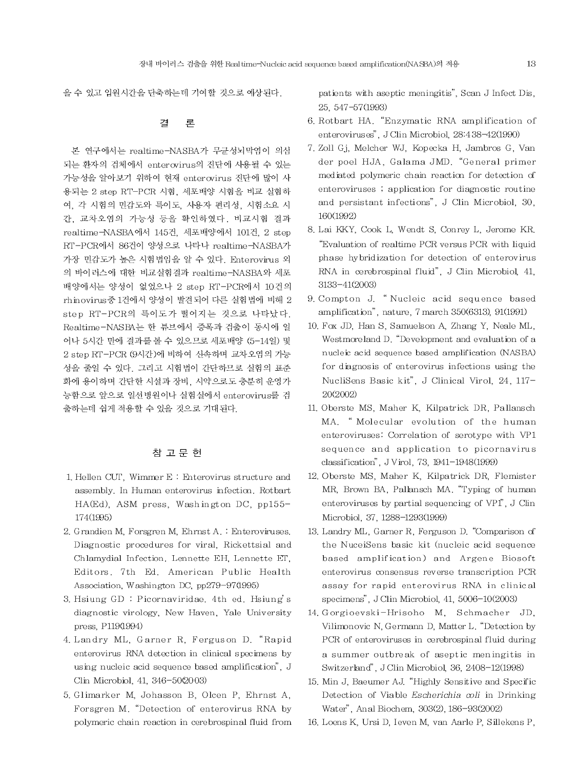을 수 있고 입원시간을 단축하는데 기여할 것으로 예상된다.

#### 곀 론

본 연구에서는 realtime-NASBA가 무균성뇌막염이 의심 되는 환자의 검체에서 enterovirus의 진단에 사용될 수 있는 가능성을 알아보기 위하여 현재 enterovirus 진단에 많이 사 용되는 2 step RT-PCR 시험, 세포배양 시험을 비교 실험하 여, 각 시험의 민감도와 특이도, 사용자 편리성, 시험소요 시 간. 교차오염의 가능성 등을 확인하였다. 비교시험 결과 realtime-NASBA에서 145건, 세포배양에서 101건, 2 step RT-PCR에서 86건이 양성으로 나타나 realtime-NASBA가 가장 민감도가 높은 시험법임을 알 수 있다. Enterovirus 외 의 바이러스에 대한 비교실험결과 realtime-NASBA와 세포 배양에서는 양성이 없었으나 2 step RT-PCR에서 10건의 rhinovirus중 1건에서 양성이 발견되어 다른 실험법에 비해 2 step RT-PCR의 특이도가 떨어지는 것으로 나타났다. Realtime-NASBA는 한 튜브에서 증폭과 검출이 동시에 일 어나 5시간 만에 결과를 볼 수 있으므로 세포배양 (5-14일) 및 2 step RT-PCR (9시간)에 비하여 신속하며 교차오염의 가능 성을 줄일 수 있다. 그리고 시험법이 간단하므로 실험의 표준 화에 용이하며 간단한 시설과 장비, 시약으로도 충분히 운영가 능함으로 앞으로 일선병원이나 실험실에서 enterovirus를 검 출하는데 쉽게 적용할 수 있을 것으로 기대된다.

# 참 고 문 헌

- 1. Hellen CUT, Wimmer E: Enterovirus structure and assembly. In Human enterovirus infection. Rotbart HA(Ed), ASM press, Washington DC, pp155-174(1995)
- 2. Grandien M, Forsgren M, Ehrnst A. : Enteroviruses. Diagnostic procedures for viral, Rickettsial and Chlamydial Infection. Lennette EH, Lennette ET, Editors. 7th Ed. American Public Health Association, Washington DC, pp279-97(1995)
- 3. Hsiung GD: Picornaviridae, 4th ed. Hsiung's diagnostic virology, New Haven, Yale University press, P119(1994)
- 4. Landry ML, Garner R, Ferguson D. "Rapid enterovirus RNA detection in clinical specimens by using nucleic acid sequence based amplification", J Clin Microbiol, 41, 346-50(2003)
- 5. Glimarker M. Johasson B. Olcen P. Ehrnst A. Forsgren M. "Detection of enterovirus RNA by polymeric chain reaction in cerebrospinal fluid from

patients with aseptic meningitis", Scan J Infect Dis, 25, 547-57(1993)

- 6. Rotbart HA. "Enzymatic RNA amplification of enteroviruses", J Clin Microbiol, 28:438-42(1990)
- 7. Zoll Gj. Melcher WJ. Kopecka H. Jambros G. Van der poel HJA, Galama JMD. "General primer mediated polymeric chain reaction for detection of enteroviruses; application for diagnostic routine and persistant infections". J Clin Microbiol. 30. 160(1992)
- 8. Lai KKY, Cook L, Wendt S, Conrey L, Jerome KR, "Evaluation of realtime PCR versus PCR with liquid phase hybridization for detection of enterovirus RNA in cerebrospinal fluid", J Clin Microbiol, 41,  $3133 - 41(2003)$
- 9. Compton J. "Nucleic acid sequence based amplification", nature, 7 march 350(6313), 91(1991)
- 10. Fox JD, Han S, Samuelson A, Zhang Y, Neale ML, Westmoreland D. "Development and evaluation of a nucleic acid sequence based amplification (NASBA) for diagnosis of enterovirus infections using the NucliSens Basic kit", J Clinical Virol, 24, 117-20(2002)
- 11. Oberste MS, Maher K, Kilpatrick DR, Pallansch MA. "Molecular evolution of the human enteroviruses: Correlation of serotype with VP1 sequence and application to picornavirus classification", JVirol, 73, 1941-1948(1999)
- 12. Oberste MS, Maher K, Kilpatrick DR, Flemister MR, Brown BA, Pallansch MA, "Typing of human enteroviruses by partial sequencing of VP1", J Clin Microbiol, 37, 1288-1293(1999)
- 13. Landry ML, Garner R, Ferguson D. "Comparison of the NuceiSens basic kit (nucleic acid sequence based amplification) and Argene Biosoft enterovirus consensus reverse transcription PCR assay for rapid enterovirus RNA in clinical specimens", J Clin Microbiol, 41, 5006-10(2003)
- 14. Gorgioevski-Hrisoho M, Schmacher JD, Vilimonovic N, Germann D, Matter L. "Detection by PCR of enteroviruses in cerebrospinal fluid during a summer outbreak of aseptic meningitis in Switzerland", J Clin Microbiol, 36, 2408-12(1998)
- 15. Min J, Baeumer AJ. "Highly Sensitive and Specific Detection of Viable Escherichia coli in Drinking Water", Anal Biochem, 303(2), 186-93(2002)
- 16. Loens K, Ursi D, Ieven M, van Aarle P, Sillekens P,